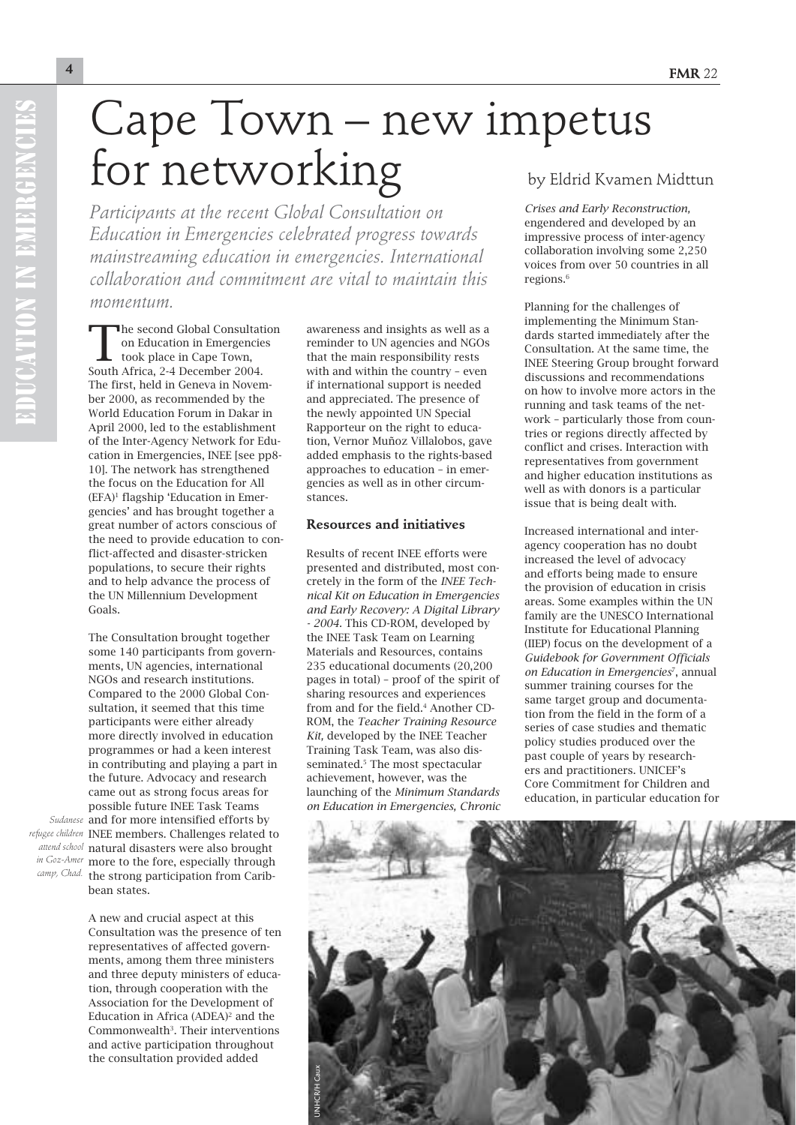# Cape Town – new impetus for networking by Eldrid Kvamen Midttun

*Participants at the recent Global Consultation on Education in Emergencies celebrated progress towards mainstreaming education in emergencies. International collaboration and commitment are vital to maintain this momentum.*

The second Global Consultation on Education in Emergencies took place in Cape Town, South Africa, 2-4 December 2004. The first, held in Geneva in November 2000, as recommended by the World Education Forum in Dakar in April 2000, led to the establishment of the Inter-Agency Network for Education in Emergencies, INEE [see pp8- 10]. The network has strengthened the focus on the Education for All  $(EFA)^1$  flagship 'Education in Emergencies' and has brought together a great number of actors conscious of the need to provide education to conflict-affected and disaster-stricken populations, to secure their rights and to help advance the process of the UN Millennium Development Goals.

The Consultation brought together some 140 participants from governments, UN agencies, international NGOs and research institutions. Compared to the 2000 Global Consultation, it seemed that this time participants were either already more directly involved in education programmes or had a keen interest in contributing and playing a part in the future. Advocacy and research came out as strong focus areas for possible future INEE Task Teams Sudanese and for more intensified efforts by refugee children INEE members. Challenges related to natural disasters were also brought *attend school in Goz-Amer* more to the fore, especially through camp, Chad. the strong participation from Caribbean states.

> A new and crucial aspect at this Consultation was the presence of ten representatives of affected governments, among them three ministers and three deputy ministers of education, through cooperation with the Association for the Development of Education in Africa  $(ADEA)^2$  and the Commonwealth<sup>3</sup>. Their interventions and active participation throughout the consultation provided added

awareness and insights as well as a reminder to UN agencies and NGOs that the main responsibility rests with and within the country – even if international support is needed and appreciated. The presence of the newly appointed UN Special Rapporteur on the right to education, Vernor Muñoz Villalobos, gave added emphasis to the rights-based approaches to education – in emergencies as well as in other circumstances.

## **Resources and initiatives**

Results of recent INEE efforts were presented and distributed, most concretely in the form of the *INEE Technical Kit on Education in Emergencies and Early Recovery: A Digital Library - 2004.* This CD-ROM, developed by the INEE Task Team on Learning Materials and Resources, contains 235 educational documents (20,200 pages in total) – proof of the spirit of sharing resources and experiences from and for the field.<sup>4</sup> Another CD-ROM, the *Teacher Training Resource Kit,* developed by the INEE Teacher Training Task Team, was also disseminated.<sup>5</sup> The most spectacular achievement, however, was the launching of the *Minimum Standards on Education in Emergencies, Chronic* 

*Crises and Early Reconstruction,* engendered and developed by an impressive process of inter-agency collaboration involving some 2,250 voices from over 50 countries in all regions<sup>6</sup>

Planning for the challenges of implementing the Minimum Standards started immediately after the Consultation. At the same time, the INEE Steering Group brought forward discussions and recommendations on how to involve more actors in the running and task teams of the network – particularly those from countries or regions directly affected by conflict and crises. Interaction with representatives from government and higher education institutions as well as with donors is a particular issue that is being dealt with.

Increased international and interagency cooperation has no doubt increased the level of advocacy and efforts being made to ensure the provision of education in crisis areas. Some examples within the UN family are the UNESCO International Institute for Educational Planning (IIEP) focus on the development of a *Guidebook for Government Officials on Education in Emergencies*7, annual summer training courses for the same target group and documentation from the field in the form of a series of case studies and thematic policy studies produced over the past couple of years by researchers and practitioners. UNICEF's Core Commitment for Children and education, in particular education for